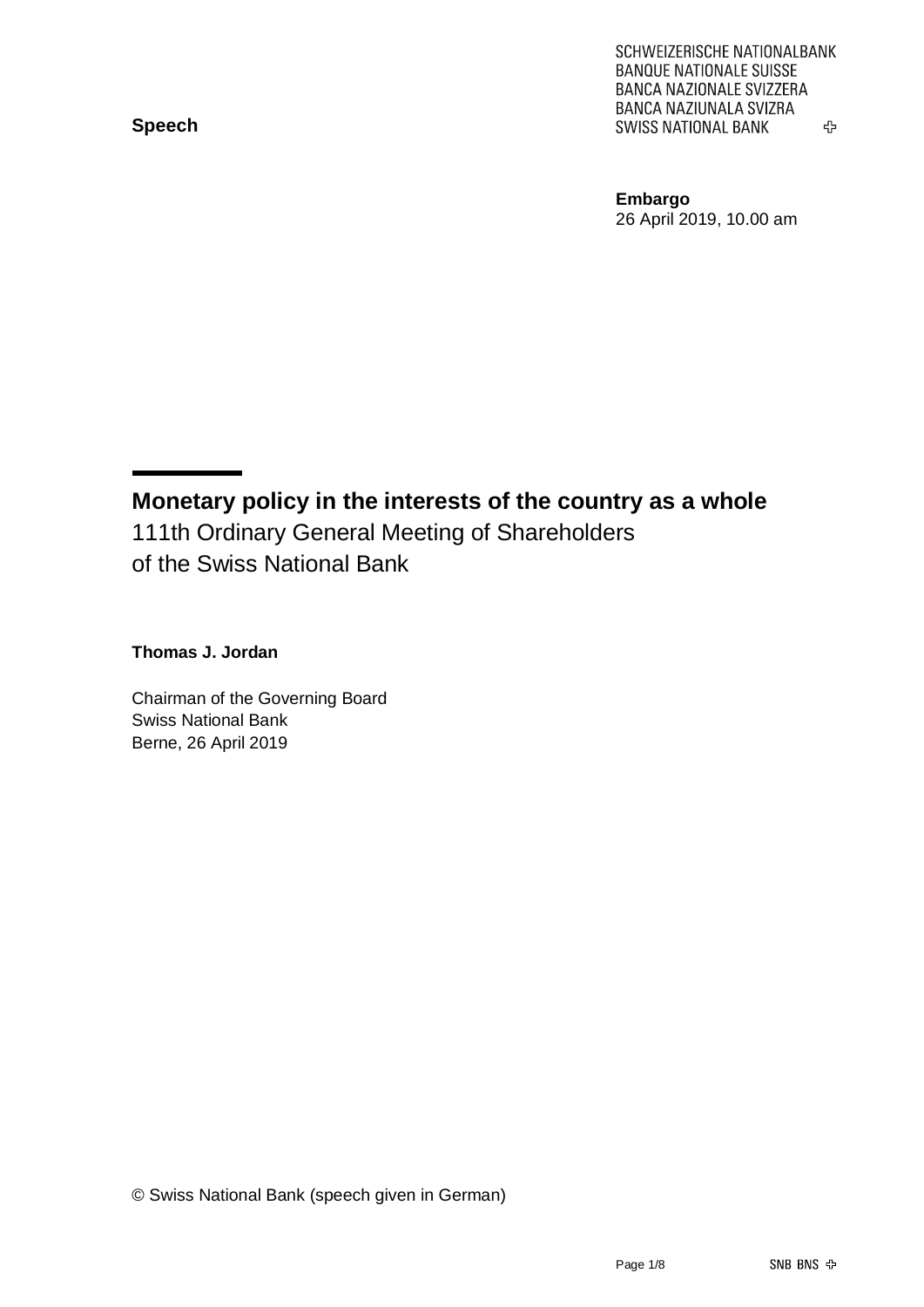**Speech**

SCHWEIZERISCHE NATIONALBANK **BANQUE NATIONALE SUISSE** BANCA NAZIONALE SVIZZERA BANCA NAZIUNALA SVIZRA **SWISS NATIONAL BANK** 亞

**Embargo** 26 April 2019, 10.00 am

**Monetary policy in the interests of the country as a whole** 111th Ordinary General Meeting of Shareholders of the Swiss National Bank

**Thomas J. Jordan**

Chairman of the Governing Board Swiss National Bank Berne, 26 April 2019

© Swiss National Bank (speech given in German)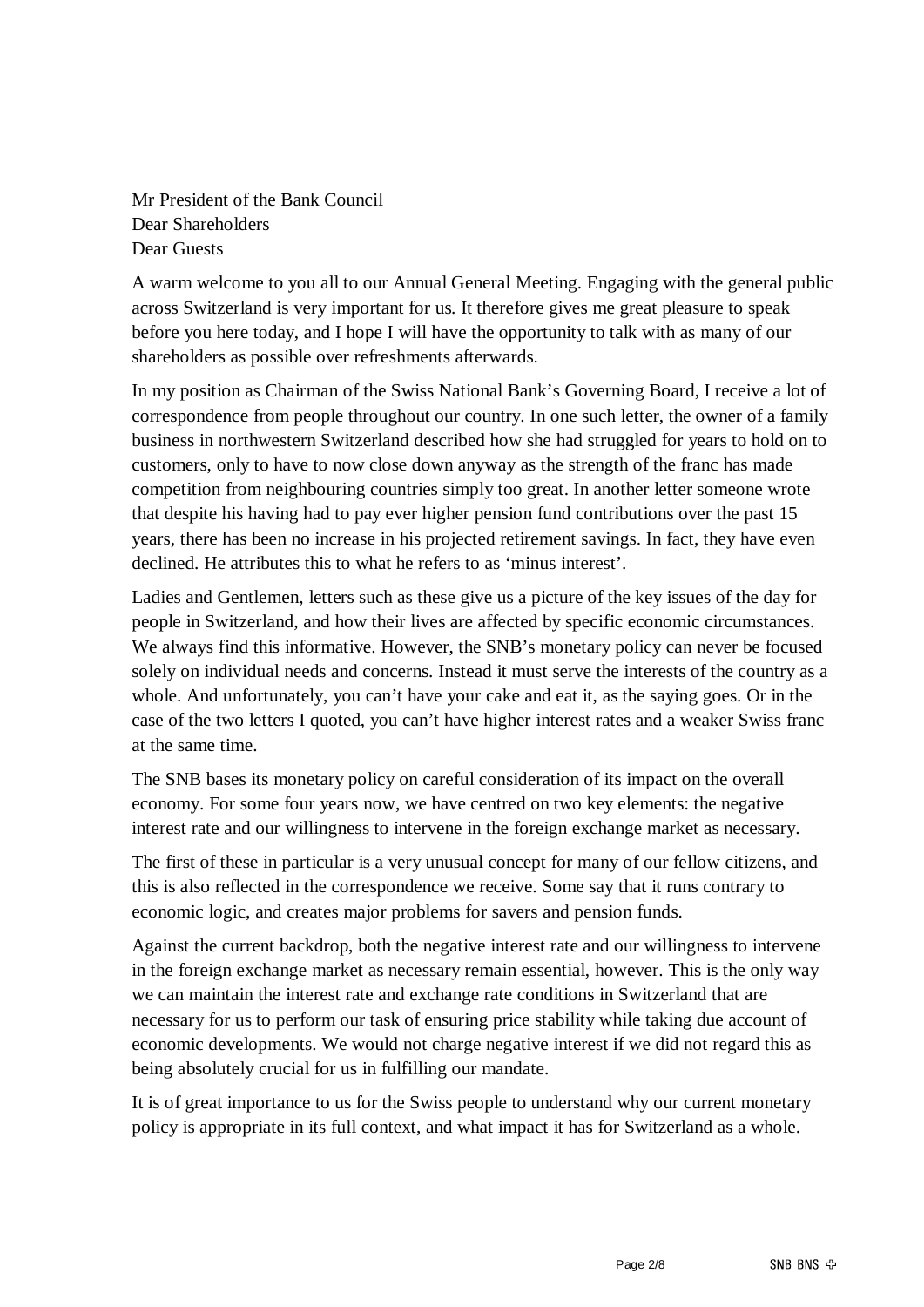Mr President of the Bank Council Dear Shareholders Dear Guests

A warm welcome to you all to our Annual General Meeting. Engaging with the general public across Switzerland is very important for us. It therefore gives me great pleasure to speak before you here today, and I hope I will have the opportunity to talk with as many of our shareholders as possible over refreshments afterwards.

In my position as Chairman of the Swiss National Bank's Governing Board, I receive a lot of correspondence from people throughout our country. In one such letter, the owner of a family business in northwestern Switzerland described how she had struggled for years to hold on to customers, only to have to now close down anyway as the strength of the franc has made competition from neighbouring countries simply too great. In another letter someone wrote that despite his having had to pay ever higher pension fund contributions over the past 15 years, there has been no increase in his projected retirement savings. In fact, they have even declined. He attributes this to what he refers to as 'minus interest'.

Ladies and Gentlemen, letters such as these give us a picture of the key issues of the day for people in Switzerland, and how their lives are affected by specific economic circumstances. We always find this informative. However, the SNB's monetary policy can never be focused solely on individual needs and concerns. Instead it must serve the interests of the country as a whole. And unfortunately, you can't have your cake and eat it, as the saying goes. Or in the case of the two letters I quoted, you can't have higher interest rates and a weaker Swiss franc at the same time.

The SNB bases its monetary policy on careful consideration of its impact on the overall economy. For some four years now, we have centred on two key elements: the negative interest rate and our willingness to intervene in the foreign exchange market as necessary.

The first of these in particular is a very unusual concept for many of our fellow citizens, and this is also reflected in the correspondence we receive. Some say that it runs contrary to economic logic, and creates major problems for savers and pension funds.

Against the current backdrop, both the negative interest rate and our willingness to intervene in the foreign exchange market as necessary remain essential, however. This is the only way we can maintain the interest rate and exchange rate conditions in Switzerland that are necessary for us to perform our task of ensuring price stability while taking due account of economic developments. We would not charge negative interest if we did not regard this as being absolutely crucial for us in fulfilling our mandate.

It is of great importance to us for the Swiss people to understand why our current monetary policy is appropriate in its full context, and what impact it has for Switzerland as a whole.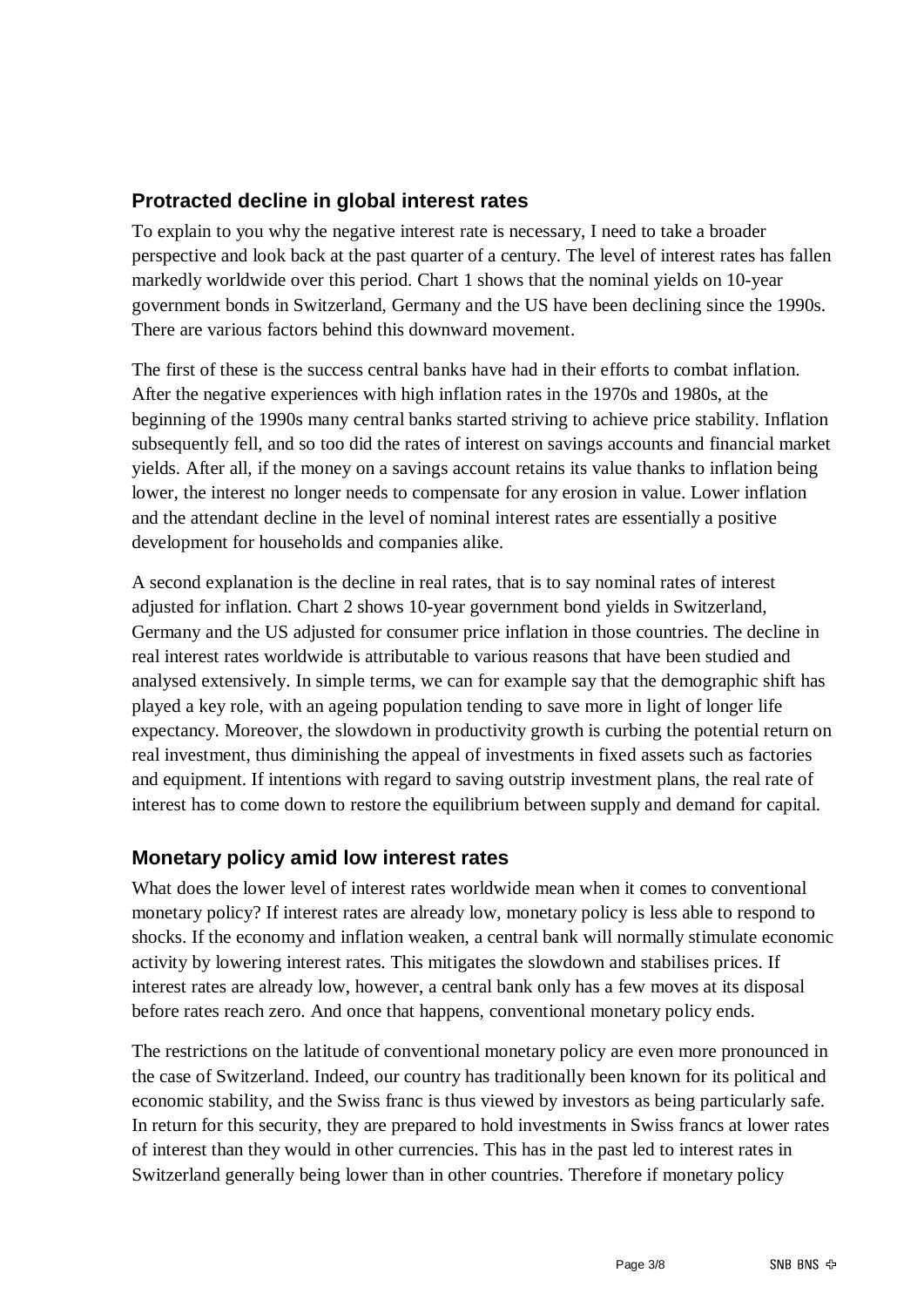## **Protracted decline in global interest rates**

To explain to you why the negative interest rate is necessary, I need to take a broader perspective and look back at the past quarter of a century. The level of interest rates has fallen markedly worldwide over this period. Chart 1 shows that the nominal yields on 10-year government bonds in Switzerland, Germany and the US have been declining since the 1990s. There are various factors behind this downward movement.

The first of these is the success central banks have had in their efforts to combat inflation. After the negative experiences with high inflation rates in the 1970s and 1980s, at the beginning of the 1990s many central banks started striving to achieve price stability. Inflation subsequently fell, and so too did the rates of interest on savings accounts and financial market yields. After all, if the money on a savings account retains its value thanks to inflation being lower, the interest no longer needs to compensate for any erosion in value. Lower inflation and the attendant decline in the level of nominal interest rates are essentially a positive development for households and companies alike.

A second explanation is the decline in real rates, that is to say nominal rates of interest adjusted for inflation. Chart 2 shows 10-year government bond yields in Switzerland, Germany and the US adjusted for consumer price inflation in those countries. The decline in real interest rates worldwide is attributable to various reasons that have been studied and analysed extensively. In simple terms, we can for example say that the demographic shift has played a key role, with an ageing population tending to save more in light of longer life expectancy. Moreover, the slowdown in productivity growth is curbing the potential return on real investment, thus diminishing the appeal of investments in fixed assets such as factories and equipment. If intentions with regard to saving outstrip investment plans, the real rate of interest has to come down to restore the equilibrium between supply and demand for capital.

#### **Monetary policy amid low interest rates**

What does the lower level of interest rates worldwide mean when it comes to conventional monetary policy? If interest rates are already low, monetary policy is less able to respond to shocks. If the economy and inflation weaken, a central bank will normally stimulate economic activity by lowering interest rates. This mitigates the slowdown and stabilises prices. If interest rates are already low, however, a central bank only has a few moves at its disposal before rates reach zero. And once that happens, conventional monetary policy ends.

The restrictions on the latitude of conventional monetary policy are even more pronounced in the case of Switzerland. Indeed, our country has traditionally been known for its political and economic stability, and the Swiss franc is thus viewed by investors as being particularly safe. In return for this security, they are prepared to hold investments in Swiss francs at lower rates of interest than they would in other currencies. This has in the past led to interest rates in Switzerland generally being lower than in other countries. Therefore if monetary policy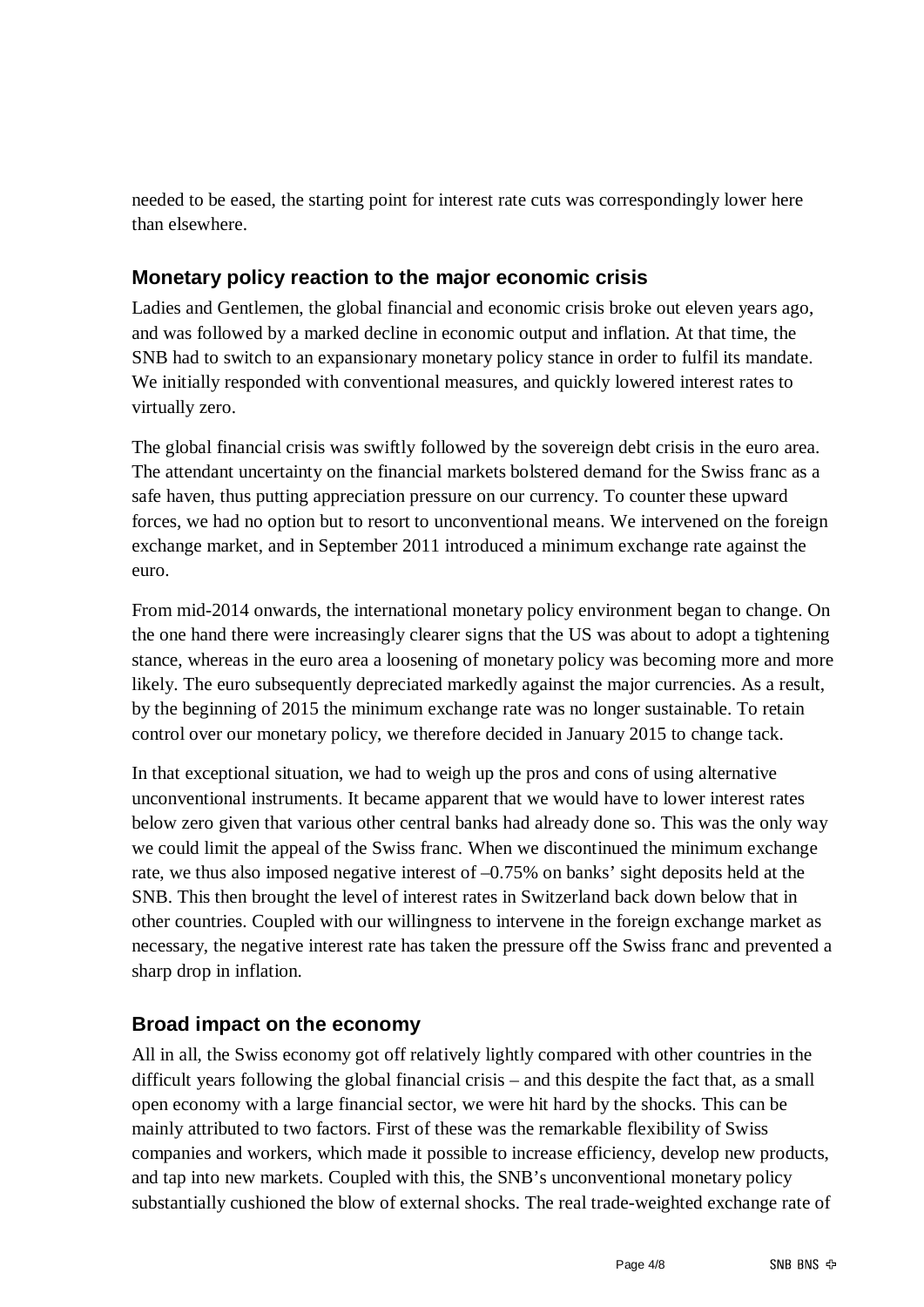needed to be eased, the starting point for interest rate cuts was correspondingly lower here than elsewhere.

# **Monetary policy reaction to the major economic crisis**

Ladies and Gentlemen, the global financial and economic crisis broke out eleven years ago, and was followed by a marked decline in economic output and inflation. At that time, the SNB had to switch to an expansionary monetary policy stance in order to fulfil its mandate. We initially responded with conventional measures, and quickly lowered interest rates to virtually zero.

The global financial crisis was swiftly followed by the sovereign debt crisis in the euro area. The attendant uncertainty on the financial markets bolstered demand for the Swiss franc as a safe haven, thus putting appreciation pressure on our currency. To counter these upward forces, we had no option but to resort to unconventional means. We intervened on the foreign exchange market, and in September 2011 introduced a minimum exchange rate against the euro.

From mid-2014 onwards, the international monetary policy environment began to change. On the one hand there were increasingly clearer signs that the US was about to adopt a tightening stance, whereas in the euro area a loosening of monetary policy was becoming more and more likely. The euro subsequently depreciated markedly against the major currencies. As a result, by the beginning of 2015 the minimum exchange rate was no longer sustainable. To retain control over our monetary policy, we therefore decided in January 2015 to change tack.

In that exceptional situation, we had to weigh up the pros and cons of using alternative unconventional instruments. It became apparent that we would have to lower interest rates below zero given that various other central banks had already done so. This was the only way we could limit the appeal of the Swiss franc. When we discontinued the minimum exchange rate, we thus also imposed negative interest of –0.75% on banks' sight deposits held at the SNB. This then brought the level of interest rates in Switzerland back down below that in other countries. Coupled with our willingness to intervene in the foreign exchange market as necessary, the negative interest rate has taken the pressure off the Swiss franc and prevented a sharp drop in inflation.

## **Broad impact on the economy**

All in all, the Swiss economy got off relatively lightly compared with other countries in the difficult years following the global financial crisis – and this despite the fact that, as a small open economy with a large financial sector, we were hit hard by the shocks. This can be mainly attributed to two factors. First of these was the remarkable flexibility of Swiss companies and workers, which made it possible to increase efficiency, develop new products, and tap into new markets. Coupled with this, the SNB's unconventional monetary policy substantially cushioned the blow of external shocks. The real trade-weighted exchange rate of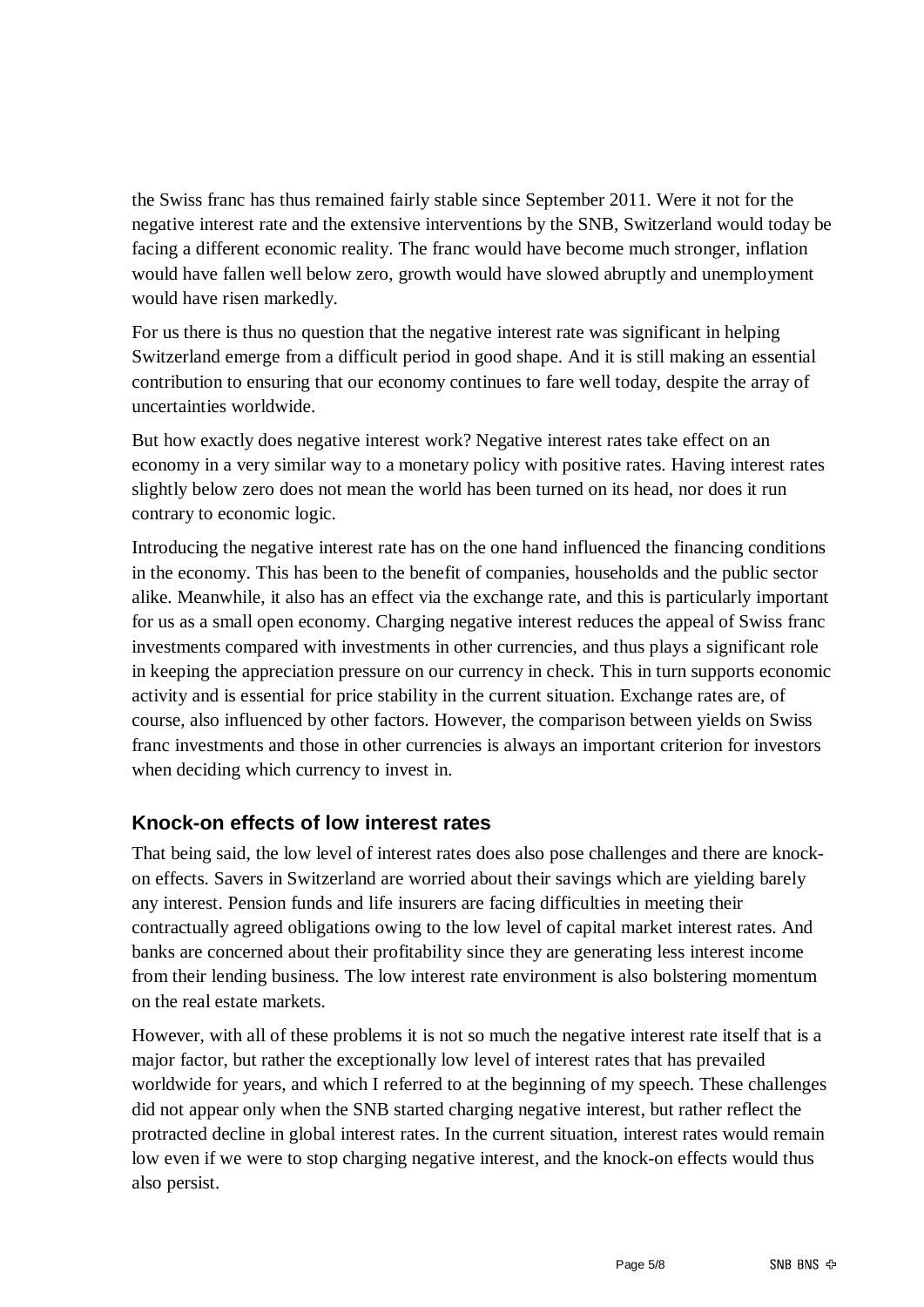the Swiss franc has thus remained fairly stable since September 2011. Were it not for the negative interest rate and the extensive interventions by the SNB, Switzerland would today be facing a different economic reality. The franc would have become much stronger, inflation would have fallen well below zero, growth would have slowed abruptly and unemployment would have risen markedly.

For us there is thus no question that the negative interest rate was significant in helping Switzerland emerge from a difficult period in good shape. And it is still making an essential contribution to ensuring that our economy continues to fare well today, despite the array of uncertainties worldwide.

But how exactly does negative interest work? Negative interest rates take effect on an economy in a very similar way to a monetary policy with positive rates. Having interest rates slightly below zero does not mean the world has been turned on its head, nor does it run contrary to economic logic.

Introducing the negative interest rate has on the one hand influenced the financing conditions in the economy. This has been to the benefit of companies, households and the public sector alike. Meanwhile, it also has an effect via the exchange rate, and this is particularly important for us as a small open economy. Charging negative interest reduces the appeal of Swiss franc investments compared with investments in other currencies, and thus plays a significant role in keeping the appreciation pressure on our currency in check. This in turn supports economic activity and is essential for price stability in the current situation. Exchange rates are, of course, also influenced by other factors. However, the comparison between yields on Swiss franc investments and those in other currencies is always an important criterion for investors when deciding which currency to invest in.

## **Knock-on effects of low interest rates**

That being said, the low level of interest rates does also pose challenges and there are knockon effects. Savers in Switzerland are worried about their savings which are yielding barely any interest. Pension funds and life insurers are facing difficulties in meeting their contractually agreed obligations owing to the low level of capital market interest rates. And banks are concerned about their profitability since they are generating less interest income from their lending business. The low interest rate environment is also bolstering momentum on the real estate markets.

However, with all of these problems it is not so much the negative interest rate itself that is a major factor, but rather the exceptionally low level of interest rates that has prevailed worldwide for years, and which I referred to at the beginning of my speech. These challenges did not appear only when the SNB started charging negative interest, but rather reflect the protracted decline in global interest rates. In the current situation, interest rates would remain low even if we were to stop charging negative interest, and the knock-on effects would thus also persist.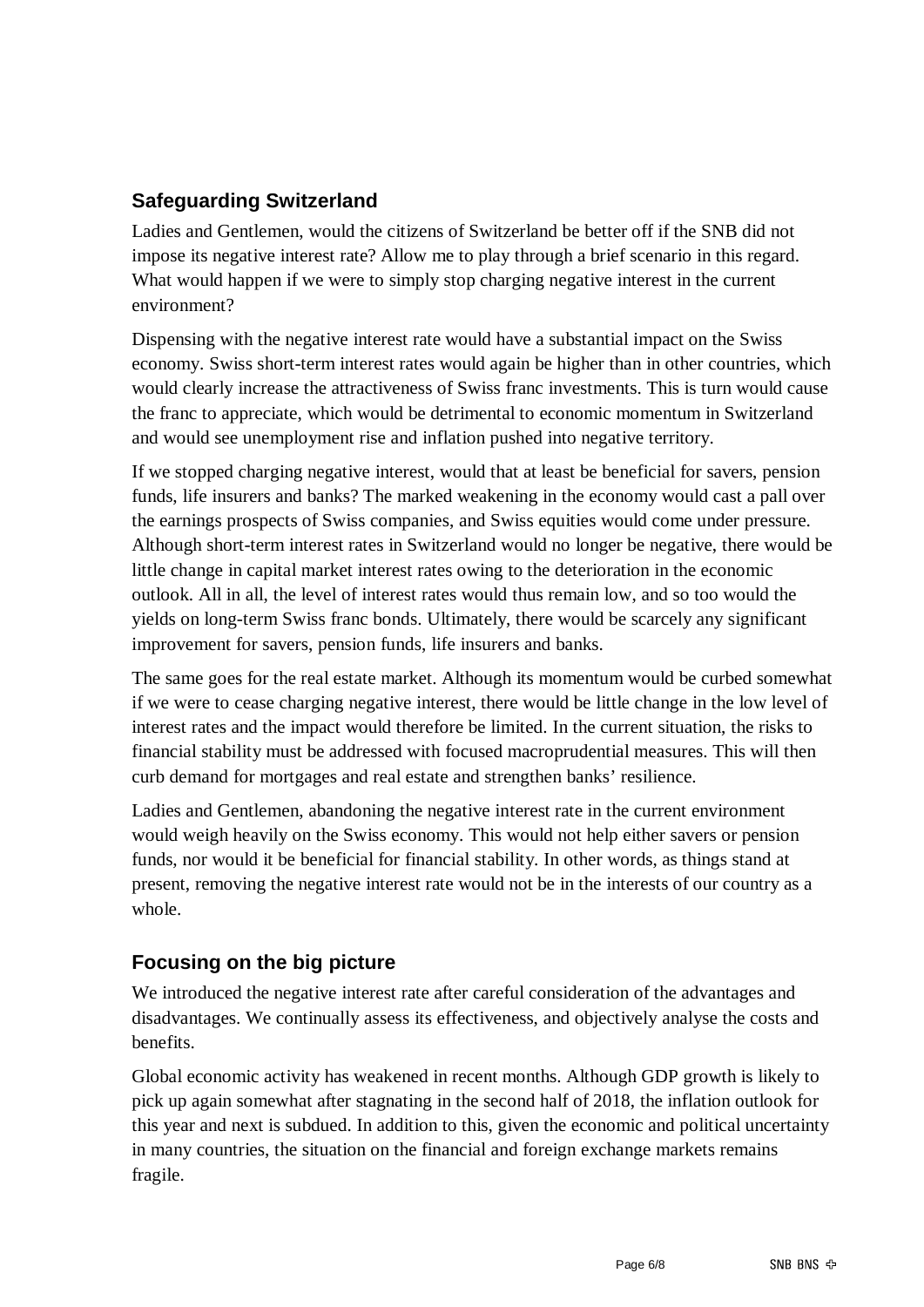# **Safeguarding Switzerland**

Ladies and Gentlemen, would the citizens of Switzerland be better off if the SNB did not impose its negative interest rate? Allow me to play through a brief scenario in this regard. What would happen if we were to simply stop charging negative interest in the current environment?

Dispensing with the negative interest rate would have a substantial impact on the Swiss economy. Swiss short-term interest rates would again be higher than in other countries, which would clearly increase the attractiveness of Swiss franc investments. This is turn would cause the franc to appreciate, which would be detrimental to economic momentum in Switzerland and would see unemployment rise and inflation pushed into negative territory.

If we stopped charging negative interest, would that at least be beneficial for savers, pension funds, life insurers and banks? The marked weakening in the economy would cast a pall over the earnings prospects of Swiss companies, and Swiss equities would come under pressure. Although short-term interest rates in Switzerland would no longer be negative, there would be little change in capital market interest rates owing to the deterioration in the economic outlook. All in all, the level of interest rates would thus remain low, and so too would the yields on long-term Swiss franc bonds. Ultimately, there would be scarcely any significant improvement for savers, pension funds, life insurers and banks.

The same goes for the real estate market. Although its momentum would be curbed somewhat if we were to cease charging negative interest, there would be little change in the low level of interest rates and the impact would therefore be limited. In the current situation, the risks to financial stability must be addressed with focused macroprudential measures. This will then curb demand for mortgages and real estate and strengthen banks' resilience.

Ladies and Gentlemen, abandoning the negative interest rate in the current environment would weigh heavily on the Swiss economy. This would not help either savers or pension funds, nor would it be beneficial for financial stability. In other words, as things stand at present, removing the negative interest rate would not be in the interests of our country as a whole.

# **Focusing on the big picture**

We introduced the negative interest rate after careful consideration of the advantages and disadvantages. We continually assess its effectiveness, and objectively analyse the costs and benefits.

Global economic activity has weakened in recent months. Although GDP growth is likely to pick up again somewhat after stagnating in the second half of 2018, the inflation outlook for this year and next is subdued. In addition to this, given the economic and political uncertainty in many countries, the situation on the financial and foreign exchange markets remains fragile.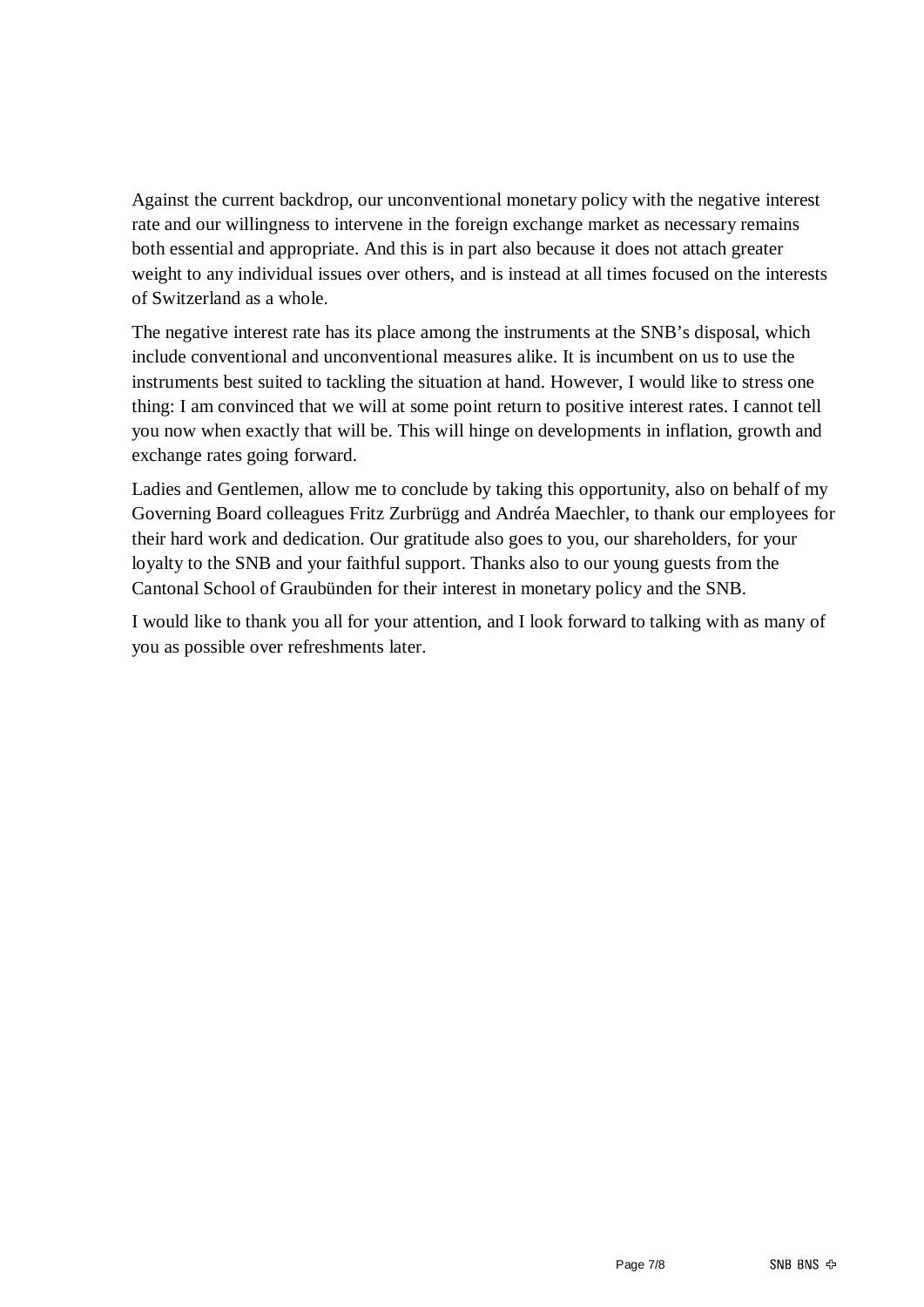Against the current backdrop, our unconventional monetary policy with the negative interest rate and our willingness to intervene in the foreign exchange market as necessary remains both essential and appropriate. And this is in part also because it does not attach greater weight to any individual issues over others, and is instead at all times focused on the interests of Switzerland as a whole.

The negative interest rate has its place among the instruments at the SNB's disposal, which include conventional and unconventional measures alike. It is incumbent on us to use the instruments best suited to tackling the situation at hand. However, I would like to stress one thing: I am convinced that we will at some point return to positive interest rates. I cannot tell you now when exactly that will be. This will hinge on developments in inflation, growth and exchange rates going forward.

Ladies and Gentlemen, allow me to conclude by taking this opportunity, also on behalf of my Governing Board colleagues Fritz Zurbrügg and Andréa Maechler, to thank our employees for their hard work and dedication. Our gratitude also goes to you, our shareholders, for your loyalty to the SNB and your faithful support. Thanks also to our young guests from the Cantonal School of Graubünden for their interest in monetary policy and the SNB.

I would like to thank you all for your attention, and I look forward to talking with as many of you as possible over refreshments later.